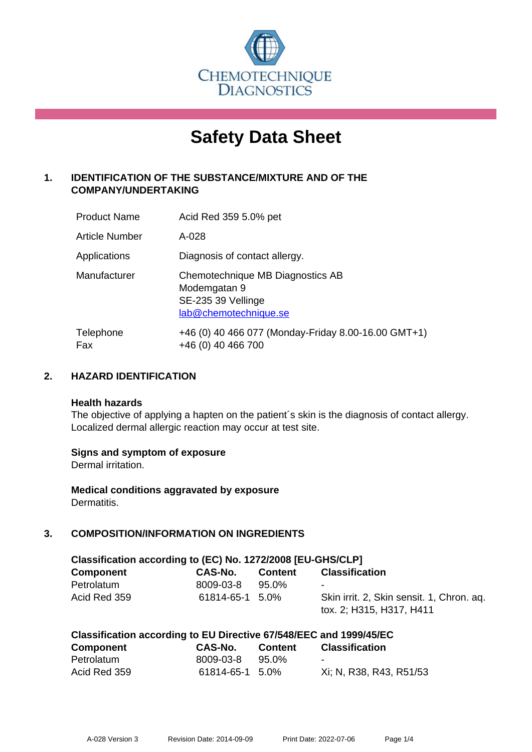

# **Safety Data Sheet**

# **1. IDENTIFICATION OF THE SUBSTANCE/MIXTURE AND OF THE COMPANY/UNDERTAKING**

| <b>Product Name</b>   | Acid Red 359 5.0% pet                                                                           |
|-----------------------|-------------------------------------------------------------------------------------------------|
| <b>Article Number</b> | A-028                                                                                           |
| Applications          | Diagnosis of contact allergy.                                                                   |
| Manufacturer          | Chemotechnique MB Diagnostics AB<br>Modemgatan 9<br>SE-235 39 Vellinge<br>lab@chemotechnique.se |
| Telephone<br>Fax      | +46 (0) 40 466 077 (Monday-Friday 8.00-16.00 GMT+1)<br>+46 (0) 40 466 700                       |

## **2. HAZARD IDENTIFICATION**

#### **Health hazards**

The objective of applying a hapten on the patient's skin is the diagnosis of contact allergy. Localized dermal allergic reaction may occur at test site.

## **Signs and symptom of exposure**

Dermal irritation.

**Medical conditions aggravated by exposure** Dermatitis.

# **3. COMPOSITION/INFORMATION ON INGREDIENTS**

| Classification according to (EC) No. 1272/2008 [EU-GHS/CLP] |                 |                |                                                                       |  |  |
|-------------------------------------------------------------|-----------------|----------------|-----------------------------------------------------------------------|--|--|
| <b>Component</b>                                            | CAS-No.         | <b>Content</b> | <b>Classification</b>                                                 |  |  |
| Petrolatum                                                  | 8009-03-8       | 95.0%          | ۰                                                                     |  |  |
| Acid Red 359                                                | 61814-65-1 5.0% |                | Skin irrit. 2, Skin sensit. 1, Chron. ag.<br>tox. 2; H315, H317, H411 |  |  |

| Classification according to EU Directive 67/548/EEC and 1999/45/EC |                 |                |                         |  |  |
|--------------------------------------------------------------------|-----------------|----------------|-------------------------|--|--|
| <b>Component</b>                                                   | CAS-No.         | <b>Content</b> | <b>Classification</b>   |  |  |
| Petrolatum                                                         | 8009-03-8       | 95.0%          | $\sim$                  |  |  |
| Acid Red 359                                                       | 61814-65-1 5.0% |                | Xi; N, R38, R43, R51/53 |  |  |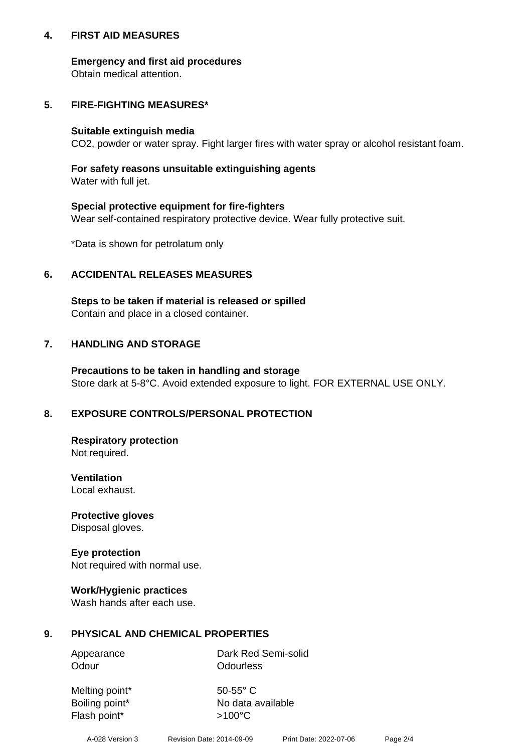## **4. FIRST AID MEASURES**

## **Emergency and first aid procedures**

Obtain medical attention.

# **5. FIRE-FIGHTING MEASURES\***

#### **Suitable extinguish media**

CO2, powder or water spray. Fight larger fires with water spray or alcohol resistant foam.

# **For safety reasons unsuitable extinguishing agents**

Water with full jet.

## **Special protective equipment for fire-fighters**

Wear self-contained respiratory protective device. Wear fully protective suit.

\*Data is shown for petrolatum only

## **6. ACCIDENTAL RELEASES MEASURES**

**Steps to be taken if material is released or spilled** Contain and place in a closed container.

# **7. HANDLING AND STORAGE**

**Precautions to be taken in handling and storage** Store dark at 5-8°C. Avoid extended exposure to light. FOR EXTERNAL USE ONLY.

# **8. EXPOSURE CONTROLS/PERSONAL PROTECTION**

**Respiratory protection** Not required.

**Ventilation** Local exhaust.

**Protective gloves** Disposal gloves.

#### **Eye protection** Not required with normal use.

## **Work/Hygienic practices**

Wash hands after each use.

## **9. PHYSICAL AND CHEMICAL PROPERTIES**

Odour **Odourless** 

Appearance Dark Red Semi-solid

Melting point\* 50-55° C Flash point\*  $>100^{\circ}$ C

Boiling point\* No data available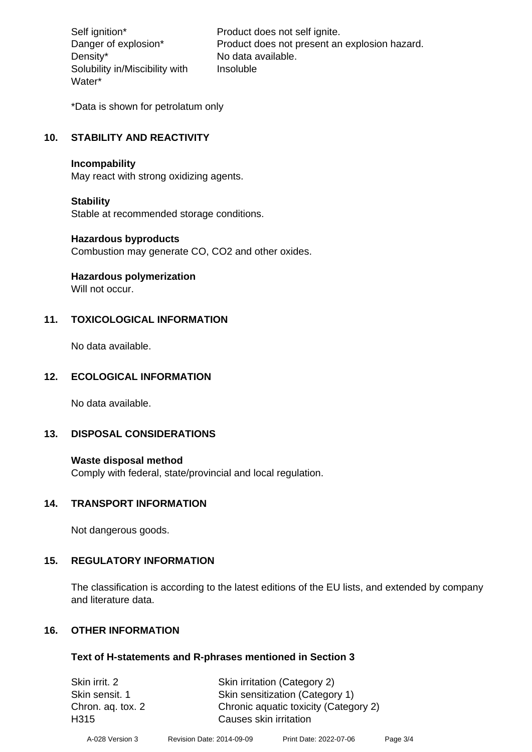Density\* No data available. Solubility in/Miscibility with Water\*

Self ignition\* Product does not self ignite. Danger of explosion\* Product does not present an explosion hazard. Insoluble

\*Data is shown for petrolatum only

# **10. STABILITY AND REACTIVITY**

#### **Incompability**

May react with strong oxidizing agents.

#### **Stability**

Stable at recommended storage conditions.

#### **Hazardous byproducts**

Combustion may generate CO, CO2 and other oxides.

**Hazardous polymerization**

Will not occur.

## **11. TOXICOLOGICAL INFORMATION**

No data available.

## **12. ECOLOGICAL INFORMATION**

No data available.

## **13. DISPOSAL CONSIDERATIONS**

#### **Waste disposal method**

Comply with federal, state/provincial and local regulation.

#### **14. TRANSPORT INFORMATION**

Not dangerous goods.

## **15. REGULATORY INFORMATION**

The classification is according to the latest editions of the EU lists, and extended by company and literature data.

## **16. OTHER INFORMATION**

#### **Text of H-statements and R-phrases mentioned in Section 3**

| Skin irrit. 2     | Skin irritation (Category 2)          |
|-------------------|---------------------------------------|
| Skin sensit. 1    | Skin sensitization (Category 1)       |
| Chron. aq. tox. 2 | Chronic aquatic toxicity (Category 2) |
| H315              | Causes skin irritation                |
|                   |                                       |